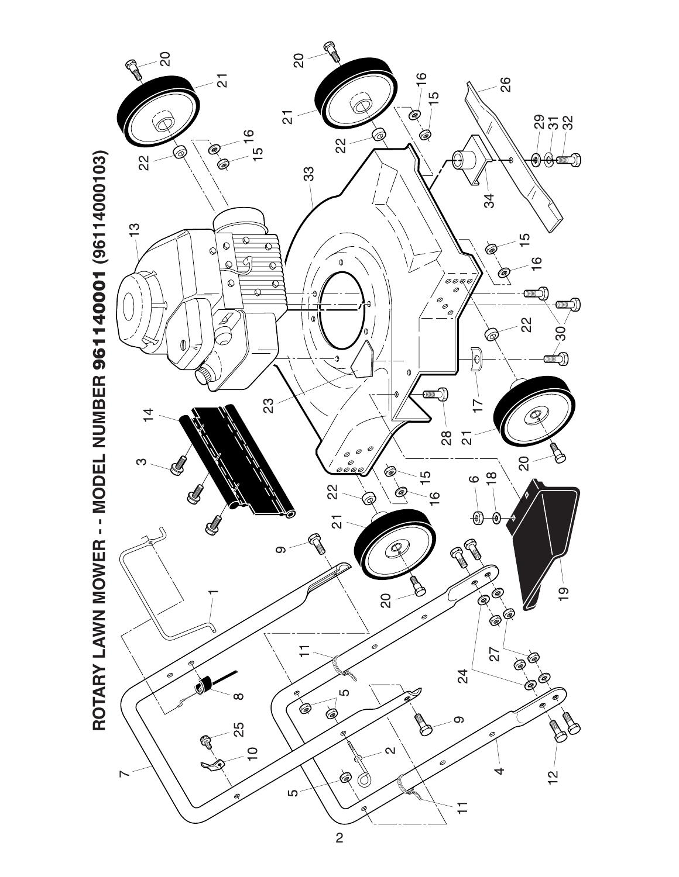